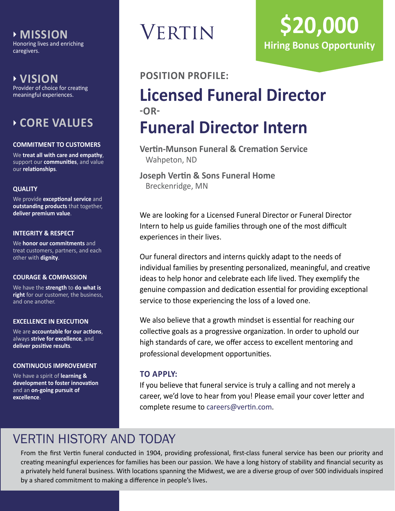**MISSION** Honoring lives and enriching caregivers.

 **VISION**

Provider of choice for creating meaningful experiences.

### **CORE VALUES**

### **COMMITMENT TO CUSTOMERS**

We **treat all with care and empathy**, support our **communities**, and value our **relationships**.

### **QUALITY**

We provide **exceptional service** and **outstanding products** that together, **deliver premium value**.

### **INTEGRITY & RESPECT**

We **honor our commitments** and treat customers, partners, and each other with **dignity**.

### **COURAGE & COMPASSION**

We have the **strength** to **do what is right** for our customer, the business, and one another.

### **EXCELLENCE IN EXECUTION**

We are **accountable for our actions**, always **strive for excellence**, and **deliver positive results**.

### **CONTINUOUS IMPROVEMENT**

We have a spirit of **learning & development to foster innovation** and an **on-going pursuit of excellence**.

# **VERTIN**

# **\$20,000 Hiring Bonus Opportunity**

### **POSITION PROFILE:**

## **Licensed Funeral Director -OR-Funeral Director Intern**

**Vertin-Munson Funeral & Cremation Service** Wahpeton, ND

**Joseph Vertin & Sons Funeral Home** Breckenridge, MN

We are looking for a Licensed Funeral Director or Funeral Director Intern to help us guide families through one of the most difficult experiences in their lives.

Our funeral directors and interns quickly adapt to the needs of individual families by presenting personalized, meaningful, and creative ideas to help honor and celebrate each life lived. They exemplify the genuine compassion and dedication essential for providing exceptional service to those experiencing the loss of a loved one.

We also believe that a growth mindset is essential for reaching our collective goals as a progressive organization. In order to uphold our high standards of care, we offer access to excellent mentoring and professional development opportunities.

### **TO APPLY:**

If you believe that funeral service is truly a calling and not merely a career, we'd love to hear from you! Please email your cover letter and complete resume to [careers@vertin.com](mailto:careers%40vertin.com?subject=).

### VERTIN HISTORY AND TODAY

From the first Vertin funeral conducted in 1904, providing professional, first-class funeral service has been our priority and creating meaningful experiences for families has been our passion. We have a long history of stability and financial security as a privately held funeral business. With locations spanning the Midwest, we are a diverse group of over 500 individuals inspired by a shared commitment to making a difference in people's lives.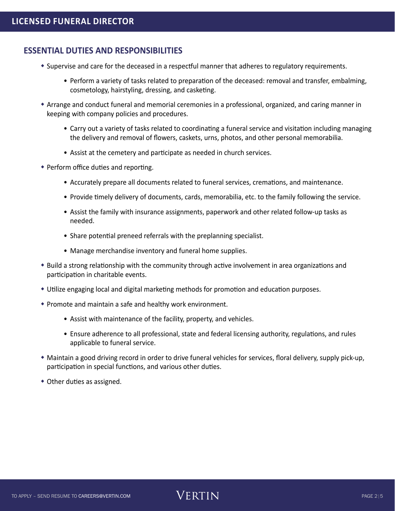### **ESSENTIAL DUTIES AND RESPONSIBILITIES**

- Supervise and care for the deceased in a respectful manner that adheres to regulatory requirements.
	- Perform a variety of tasks related to preparation of the deceased: removal and transfer, embalming, cosmetology, hairstyling, dressing, and casketing.
- Arrange and conduct funeral and memorial ceremonies in a professional, organized, and caring manner in keeping with company policies and procedures.
	- Carry out a variety of tasks related to coordinating a funeral service and visitation including managing the delivery and removal of flowers, caskets, urns, photos, and other personal memorabilia.
	- Assist at the cemetery and participate as needed in church services.
- Perform office duties and reporting.
	- Accurately prepare all documents related to funeral services, cremations, and maintenance.
	- Provide timely delivery of documents, cards, memorabilia, etc. to the family following the service.
	- Assist the family with insurance assignments, paperwork and other related follow-up tasks as needed.
	- Share potential preneed referrals with the preplanning specialist.
	- Manage merchandise inventory and funeral home supplies.
- Build a strong relationship with the community through active involvement in area organizations and participation in charitable events.
- Utilize engaging local and digital marketing methods for promotion and education purposes.
- Promote and maintain a safe and healthy work environment.
	- Assist with maintenance of the facility, property, and vehicles.
	- Ensure adherence to all professional, state and federal licensing authority, regulations, and rules applicable to funeral service.
- Maintain a good driving record in order to drive funeral vehicles for services, floral delivery, supply pick-up, participation in special functions, and various other duties.
- Other duties as assigned.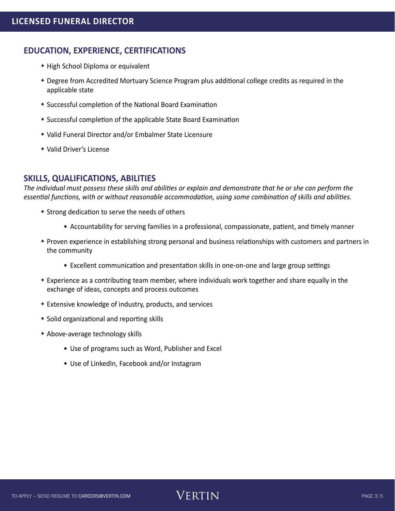### **EDUCATION, EXPERIENCE, CERTIFICATIONS**

- High School Diploma or equivalent
- Degree from Accredited Mortuary Science Program plus additional college credits as required in the applicable state
- Successful completion of the National Board Examination
- Successful completion of the applicable State Board Examination
- Valid Funeral Director and/or Embalmer State Licensure
- Valid Driver's License

### **SKILLS, QUALIFICATIONS, ABILITIES**

*The individual must possess these skills and abilities or explain and demonstrate that he or she can perform the essential functions, with or without reasonable accommodation, using some combination of skills and abilities.*

- Strong dedication to serve the needs of others
	- Accountability for serving families in a professional, compassionate, patient, and timely manner
- Proven experience in establishing strong personal and business relationships with customers and partners in the community
	- Excellent communication and presentation skills in one-on-one and large group settings
- Experience as a contributing team member, where individuals work together and share equally in the exchange of ideas, concepts and process outcomes
- Extensive knowledge of industry, products, and services
- Solid organizational and reporting skills
- Above-average technology skills
	- Use of programs such as Word, Publisher and Excel
	- Use of LinkedIn, Facebook and/or Instagram

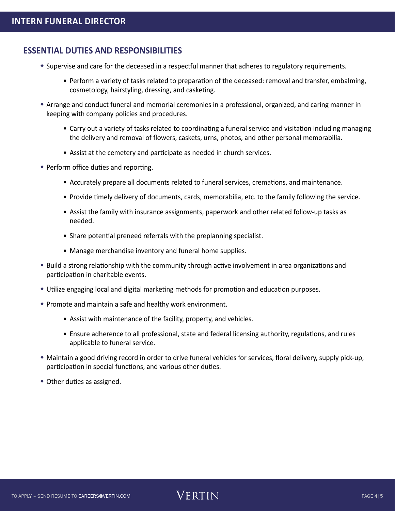### **ESSENTIAL DUTIES AND RESPONSIBILITIES**

- Supervise and care for the deceased in a respectful manner that adheres to regulatory requirements.
	- Perform a variety of tasks related to preparation of the deceased: removal and transfer, embalming, cosmetology, hairstyling, dressing, and casketing.
- Arrange and conduct funeral and memorial ceremonies in a professional, organized, and caring manner in keeping with company policies and procedures.
	- Carry out a variety of tasks related to coordinating a funeral service and visitation including managing the delivery and removal of flowers, caskets, urns, photos, and other personal memorabilia.
	- Assist at the cemetery and participate as needed in church services.
- Perform office duties and reporting.
	- Accurately prepare all documents related to funeral services, cremations, and maintenance.
	- Provide timely delivery of documents, cards, memorabilia, etc. to the family following the service.
	- Assist the family with insurance assignments, paperwork and other related follow-up tasks as needed.
	- Share potential preneed referrals with the preplanning specialist.
	- Manage merchandise inventory and funeral home supplies.
- Build a strong relationship with the community through active involvement in area organizations and participation in charitable events.
- Utilize engaging local and digital marketing methods for promotion and education purposes.
- Promote and maintain a safe and healthy work environment.
	- Assist with maintenance of the facility, property, and vehicles.
	- Ensure adherence to all professional, state and federal licensing authority, regulations, and rules applicable to funeral service.
- Maintain a good driving record in order to drive funeral vehicles for services, floral delivery, supply pick-up, participation in special functions, and various other duties.
- Other duties as assigned.